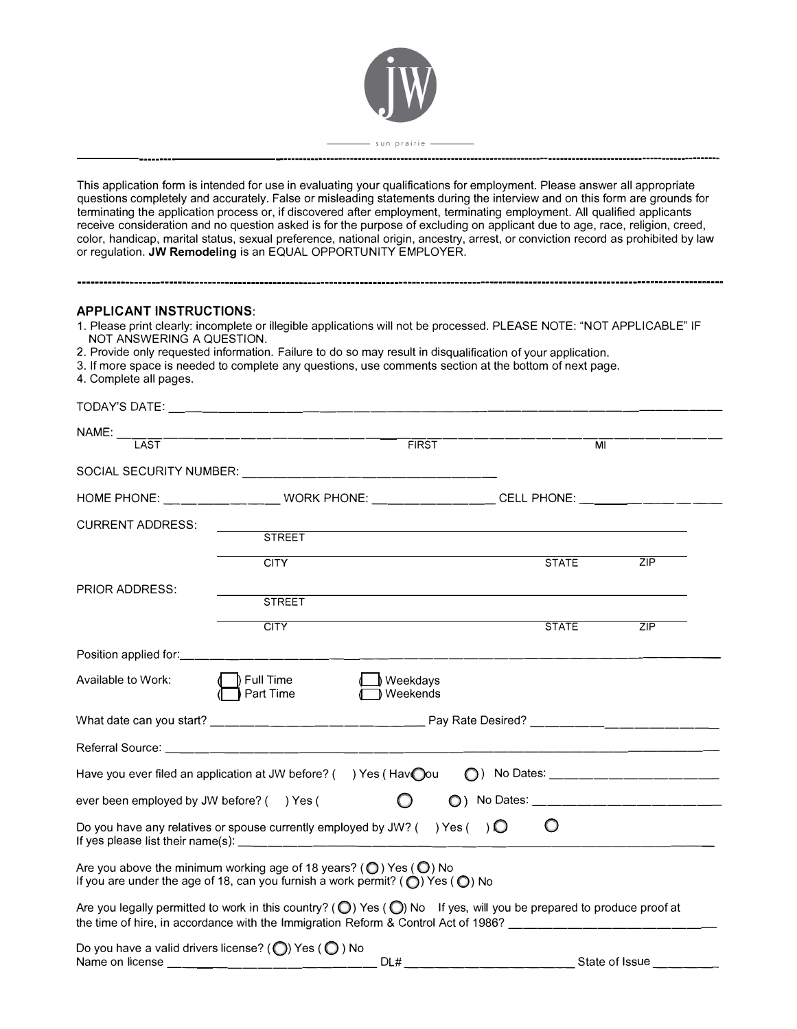

This application form is intended for use in evaluating your qualifications for employment. Please answer all appropriate questions completely and accurately. False or misleading statements during the interview and on this form are grounds for terminating the application process or, if discovered after employment, terminating employment. All qualified applicants receive consideration and no question asked is for the purpose of excluding on applicant due to age, race, religion, creed, color, handicap, marital status, sexual preference, national origin, ancestry, arrest, or conviction record as prohibited by law or regulation. **JW Remodeling** is an EQUAL OPPORTUNITY EMPLOYER.

# **APPLICANT INSTRUCTIONS:**

- 1. Please print clearly: incomplete or illegible applications will not be processed. PLEASE NOTE: "NOT APPLICABLE" IF NOT ANSWERING A QUESTION.
- 2. Provide only requested information. Failure to do so may result in disqualification of your application.
- 3. If more space is needed to complete any questions, use comments section at the bottom of next page.
- 4. Complete all pages.

| TODAY'S DATE:                             |                                                                                                                                                                                                                                                            |                        |                         |                                      |
|-------------------------------------------|------------------------------------------------------------------------------------------------------------------------------------------------------------------------------------------------------------------------------------------------------------|------------------------|-------------------------|--------------------------------------|
| $NAME:$ ___<br>LAST                       | _____________________________                                                                                                                                                                                                                              | FIRST                  | $\overline{\mathsf{M}}$ |                                      |
|                                           |                                                                                                                                                                                                                                                            |                        |                         |                                      |
|                                           | SOCIAL SECURITY NUMBER: __________________________________                                                                                                                                                                                                 |                        |                         |                                      |
|                                           | HOME PHONE: ______________________WORK PHONE: ____________________CELL PHONE: _____________________                                                                                                                                                        |                        |                         |                                      |
| <b>CURRENT ADDRESS:</b>                   |                                                                                                                                                                                                                                                            |                        |                         |                                      |
|                                           | <b>STREET</b>                                                                                                                                                                                                                                              |                        |                         |                                      |
|                                           | <b>CITY</b>                                                                                                                                                                                                                                                |                        | <b>STATE</b>            | ZIP                                  |
| PRIOR ADDRESS:                            | <b>STREET</b>                                                                                                                                                                                                                                              |                        |                         |                                      |
|                                           |                                                                                                                                                                                                                                                            |                        |                         |                                      |
|                                           | <b>CITY</b>                                                                                                                                                                                                                                                |                        | <b>STATE</b>            | ZIP                                  |
|                                           |                                                                                                                                                                                                                                                            |                        |                         |                                      |
| Available to Work:                        | $\parallel$ Full Time<br>Part Time                                                                                                                                                                                                                         | ) Weekdays<br>Weekends |                         |                                      |
|                                           |                                                                                                                                                                                                                                                            |                        |                         |                                      |
|                                           |                                                                                                                                                                                                                                                            |                        |                         |                                      |
|                                           | Have you ever filed an application at JW before? () Yes (Havou                                                                                                                                                                                             |                        |                         | ◯) No Dates: ____________________    |
| ever been employed by JW before? () Yes ( |                                                                                                                                                                                                                                                            |                        |                         | ○) No Dates: _______________________ |
|                                           | Do you have any relatives or spouse currently employed by JW? () Yes () $\bigcirc$                                                                                                                                                                         |                        | $\circ$                 |                                      |
|                                           | Are you above the minimum working age of 18 years? ( $\bigcirc$ ) Yes ( $\bigcirc$ ) No<br>If you are under the age of 18, can you furnish a work permit? ( $\bigcirc$ ) Yes ( $\bigcirc$ ) No                                                             |                        |                         |                                      |
|                                           | Are you legally permitted to work in this country? ( $\bigcirc$ ) Yes ( $\bigcirc$ ) No If yes, will you be prepared to produce proof at<br>the time of hire, in accordance with the Immigration Reform & Control Act of 1986? ___________________________ |                        |                         |                                      |
|                                           | Do you have a valid drivers license? (O) Yes (O) No                                                                                                                                                                                                        |                        |                         |                                      |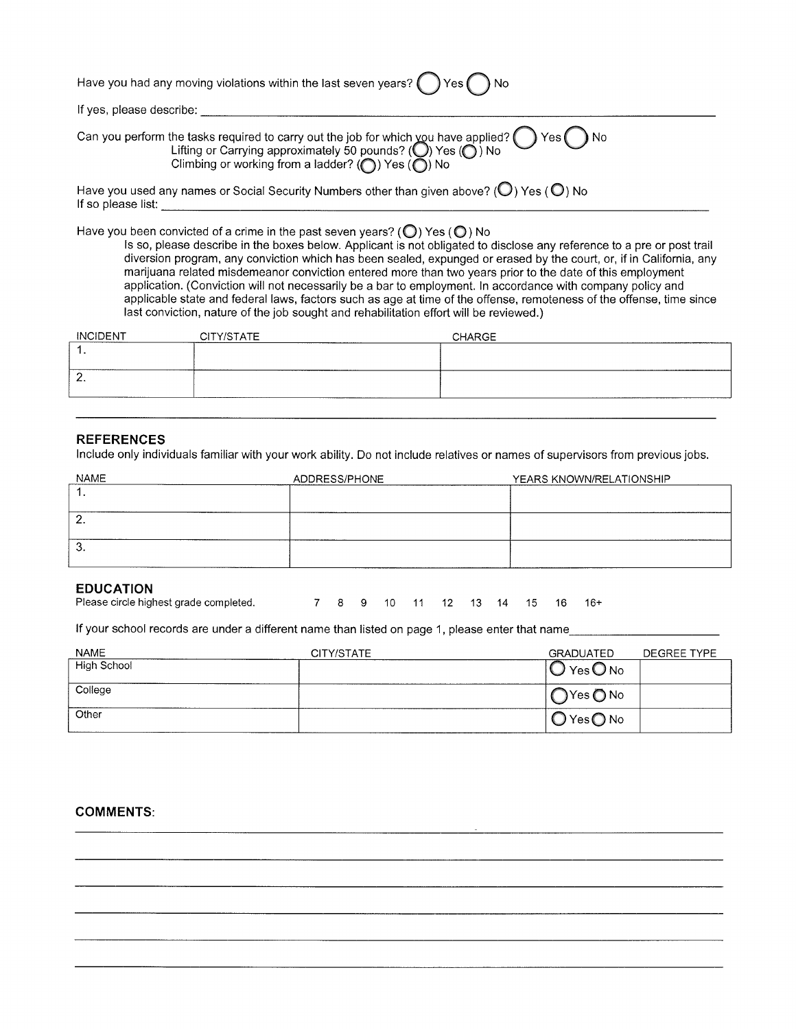| Have you had any moving violations within the last seven years? $\bigcirc$ Yes $\bigcirc$ No                                                                                    |
|---------------------------------------------------------------------------------------------------------------------------------------------------------------------------------|
| If yes, please describe:                                                                                                                                                        |
| Can you perform the tasks required to carry out the job for which you have applied? $\bigcirc$ Yes $\bigcirc$ No<br>Lifting or Carrying approximately 50 pounds? (O) Yes (O) No |

| Climbing or working from a ladder? ( $\bigcirc$ ) Yes ( $\bigcirc$ ) No |  |  |
|-------------------------------------------------------------------------|--|--|
|                                                                         |  |  |
|                                                                         |  |  |

| Have you used any names or Social Security Numbers other than given above? ( $\bigcirc$ ) Yes ( $\bigcirc$ ) No |  |
|-----------------------------------------------------------------------------------------------------------------|--|
| If so please list:                                                                                              |  |

Have you been convicted of a crime in the past seven years? ( $\bigcirc$ ) Yes ( $\bigcirc$ ) No

Is so, please describe in the boxes below. Applicant is not obligated to disclose any reference to a pre or post trail diversion program, any conviction which has been sealed, expunged or erased by the court, or, if in California, any marijuana related misdemeanor conviction entered more than two years prior to the date of this employment application. (Conviction will not necessarily be a bar to employment. In accordance with company policy and applicable state and federal laws, factors such as age at time of the offense, remoteness of the offense, time since last conviction, nature of the job sought and rehabilitation effort will be reviewed.)

| <b>INCIDENT</b><br>--------------- | CITY/STATE | CHARGE |
|------------------------------------|------------|--------|
| .                                  |            |        |
|                                    |            |        |
| <u>.</u>                           |            |        |
|                                    |            |        |

### **REFERENCES**

Include only individuals familiar with your work ability. Do not include relatives or names of supervisors from previous jobs.

| <b>NAME</b> | ADDRESS/PHONE | YEARS KNOWN/RELATIONSHIP |
|-------------|---------------|--------------------------|
|             |               |                          |
|             |               |                          |
| -           |               |                          |
| ີ           |               |                          |
|             |               |                          |

# **EDUCATION**

| Please circle highest grade completed. |  |  |  |  |  |  |  |  |  | 7 8 9 10 11 12 13 14 15 16 16+ |  |
|----------------------------------------|--|--|--|--|--|--|--|--|--|--------------------------------|--|
|----------------------------------------|--|--|--|--|--|--|--|--|--|--------------------------------|--|

If your school records are under a different name than listed on page 1, please enter that name

| <b>NAME</b> | CITY/STATE | GRADUATED                   | DEGREE TYPE |
|-------------|------------|-----------------------------|-------------|
| High School |            | Yes ONo                     |             |
| College     |            | $\bigcap$ Yes $\bigcirc$ No |             |
| Other       |            | $O$ Yes $O$ No              |             |

### **COMMENTS:**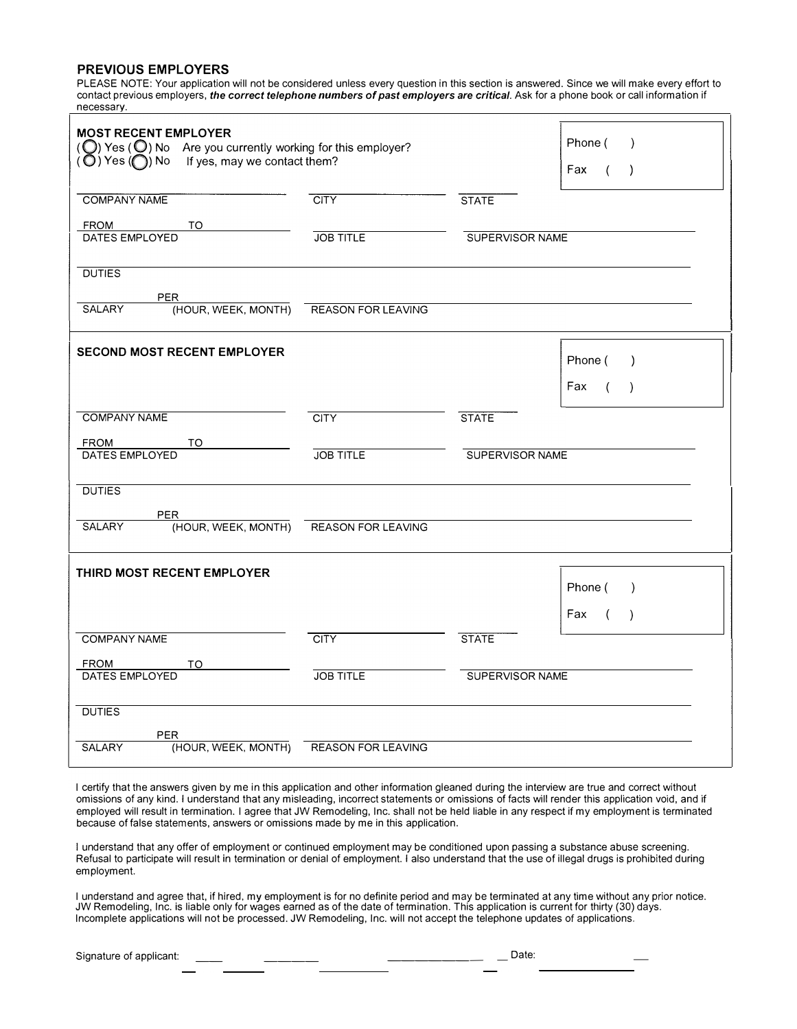### **PREVIOUS EMPLOYERS**

PLEASE NOTE: Your application will not be considered unless every question in this section is answered. Since we will make every effort to contact previous employers, *the correct telephone numbers* of *past employers are critical.* Ask for a phone book or call information if necessarv.

| <b>MOST RECENT EMPLOYER</b><br>$\left(\bigcirc\right)$ Yes $\left(\bigcirc\right)$ No Are you currently working for this employer?<br>$(\overline{\mathbb{O}})$ Yes $(\bigcap)$ No If yes, may we contact them? |                           |                        | Phone (<br>$\lambda$<br>Fax<br>$\left($<br>$\lambda$ |
|-----------------------------------------------------------------------------------------------------------------------------------------------------------------------------------------------------------------|---------------------------|------------------------|------------------------------------------------------|
| <b>COMPANY NAME</b>                                                                                                                                                                                             | <b>CITY</b>               | <b>STATE</b>           |                                                      |
| <b>FROM</b><br>TO<br>DATES EMPLOYED                                                                                                                                                                             | <b>JOB TITLE</b>          | <b>SUPERVISOR NAME</b> |                                                      |
| <b>DUTIES</b><br><b>PER</b>                                                                                                                                                                                     |                           |                        |                                                      |
| (HOUR, WEEK, MONTH)<br>SALARY                                                                                                                                                                                   | <b>REASON FOR LEAVING</b> |                        |                                                      |
| <b>SECOND MOST RECENT EMPLOYER</b>                                                                                                                                                                              |                           |                        | Phone (<br>$\lambda$                                 |
|                                                                                                                                                                                                                 |                           |                        | Fax<br>$\left($<br>$\lambda$                         |
| <b>COMPANY NAME</b>                                                                                                                                                                                             | <b>CITY</b>               | <b>STATE</b>           |                                                      |
| FROM<br>TO<br>DATES EMPLOYED                                                                                                                                                                                    | <b>JOB TITLE</b>          | SUPERVISOR NAME        |                                                      |
| <b>DUTIES</b>                                                                                                                                                                                                   |                           |                        |                                                      |
| <b>PER</b><br>(HOUR, WEEK, MONTH)<br><b>SALARY</b>                                                                                                                                                              | <b>REASON FOR LEAVING</b> |                        |                                                      |
| THIRD MOST RECENT EMPLOYER                                                                                                                                                                                      |                           |                        | Phone (<br>$\lambda$                                 |
|                                                                                                                                                                                                                 |                           |                        | Fax                                                  |
| <b>COMPANY NAME</b>                                                                                                                                                                                             | <b>CITY</b>               | <b>STATE</b>           |                                                      |
|                                                                                                                                                                                                                 |                           |                        |                                                      |
| <b>FROM</b><br>TO<br>DATES EMPLOYED                                                                                                                                                                             | <b>JOB TITLE</b>          | SUPERVISOR NAME        |                                                      |
| <b>DUTIES</b>                                                                                                                                                                                                   |                           |                        |                                                      |

I certify that the answers given by me in this application and other information gleaned during the interview are true and correct without omissions of any kind. I understand that any misleading, incorrect statements or omissions of facts will render this application void, and if employed will result in termination. I agree that JW Remodeling, Inc. shall not be held liable in any respect if my employment is terminated because of false statements, answers or omissions made by me in this application.

I understand that any offer of employment or continued employment may be conditioned upon passing a substance abuse screening. Refusal to participate will result in termination or denial of employment. I also understand that the use of illegal drugs is prohibited during employment.

I understand and agree that, if hired, my employment is for no definite period and may be terminated at any time without any prior notice. JW Remodeling, Inc. is liable only for wages earned as of the date of termination. This application is current for thirty (30) days. Incomplete applications will not be processed. JW Remodeling, Inc. will not accept the telephone updates of applications.

| Signature of applicant:<br>)ate |
|---------------------------------|
|---------------------------------|